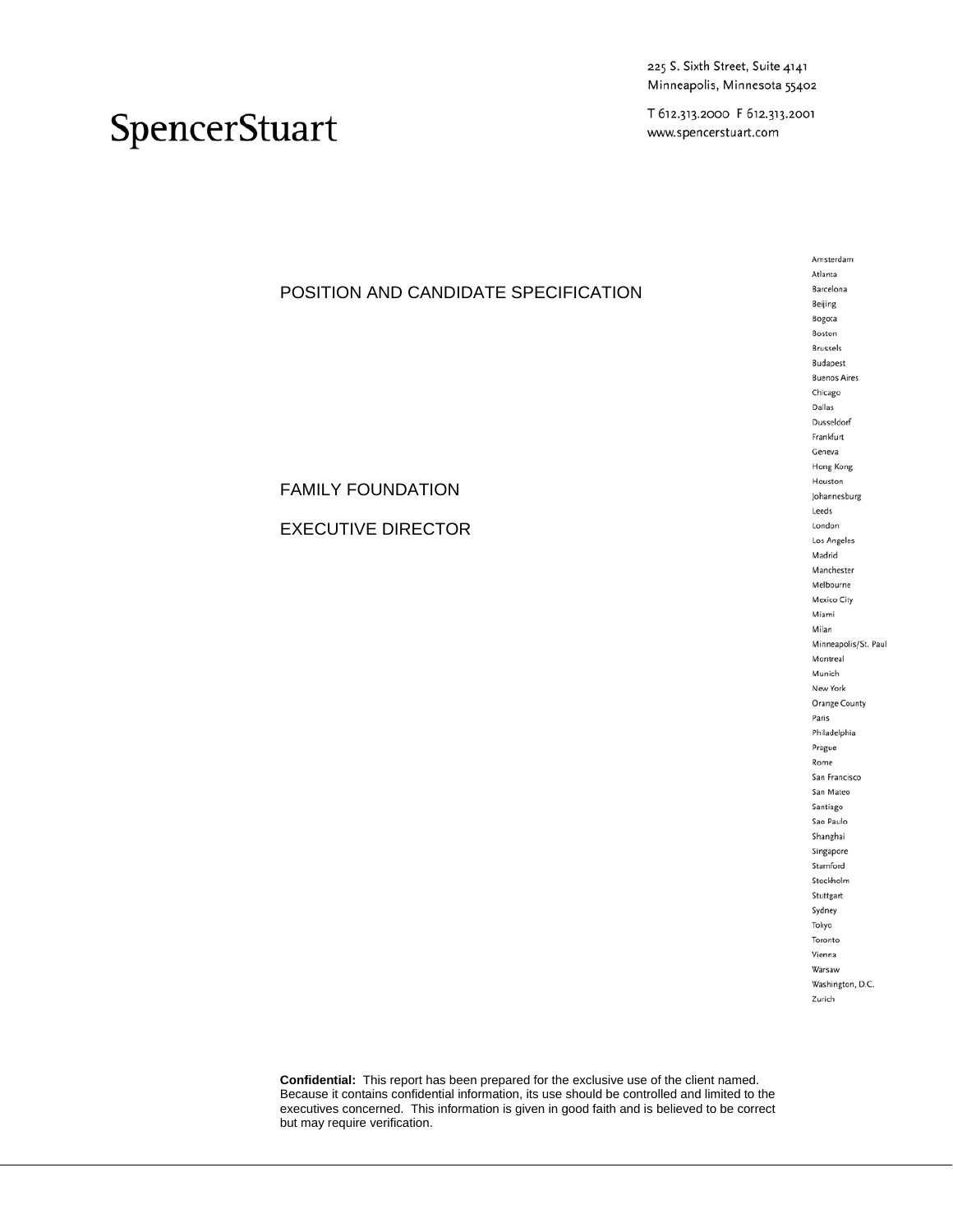225 S. Sixth Street, Suite 4141 Minneapolis, Minnesota 55402

T 612.313.2000 F 612.313.2001 www.spencerstuart.com

## SpencerStuart

### POSITION AND CANDIDATE SPECIFICATION

FAMILY FOUNDATION

EXECUTIVE DIRECTOR

Amsterdam Atlanta Barcelona Beijing Bogota Boston **Brussels** Budapest **Buenos Aires** Chicago Dallas Dusseldorf Frankfurt Geneva Hong Kong Houston Johannesburg Leeds London Los Angeles Madrid Manchester Melbourne Mexico City Miami Milan Minneapolis/St. Paul Montreal Munich New York Orange County Paris Philadelphia Prague Rome San Francisco San Mateo Santiago Sao Paulo Shanghai Singapore Stamford Stockholm Stuttgart Sydney Tokyo Toronto Vienna Warsaw Washington, D.C. Zurich

**Confidential:** This report has been prepared for the exclusive use of the client named. Because it contains confidential information, its use should be controlled and limited to the executives concerned. This information is given in good faith and is believed to be correct but may require verification.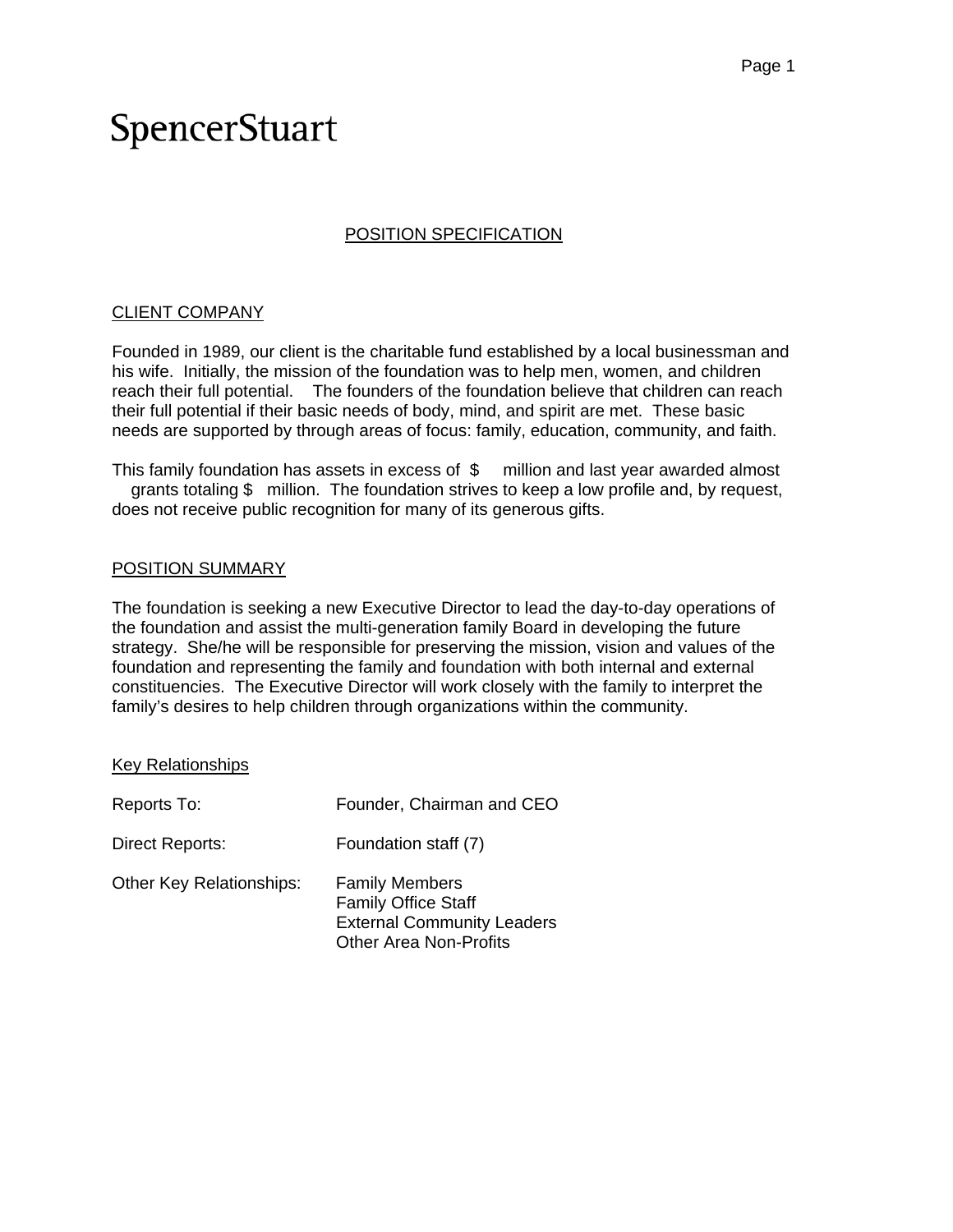### POSITION SPECIFICATION

#### CLIENT COMPANY

Founded in 1989, our client is the charitable fund established by a local businessman and his wife. Initially, the mission of the foundation was to help men, women, and children reach their full potential. The founders of the foundation believe that children can reach their full potential if their basic needs of body, mind, and spirit are met. These basic needs are supported by through areas of focus: family, education, community, and faith.

This family foundation has assets in excess of \$ million and last year awarded almost grants totaling \$ million. The foundation strives to keep a low profile and, by request, does not receive public recognition for many of its generous gifts.

#### POSITION SUMMARY

The foundation is seeking a new Executive Director to lead the day-to-day operations of the foundation and assist the multi-generation family Board in developing the future strategy. She/he will be responsible for preserving the mission, vision and values of the foundation and representing the family and foundation with both internal and external constituencies. The Executive Director will work closely with the family to interpret the family's desires to help children through organizations within the community.

#### Key Relationships

| Reports To:                     | Founder, Chairman and CEO                                                                                                 |
|---------------------------------|---------------------------------------------------------------------------------------------------------------------------|
| Direct Reports:                 | Foundation staff (7)                                                                                                      |
| <b>Other Key Relationships:</b> | <b>Family Members</b><br><b>Family Office Staff</b><br><b>External Community Leaders</b><br><b>Other Area Non-Profits</b> |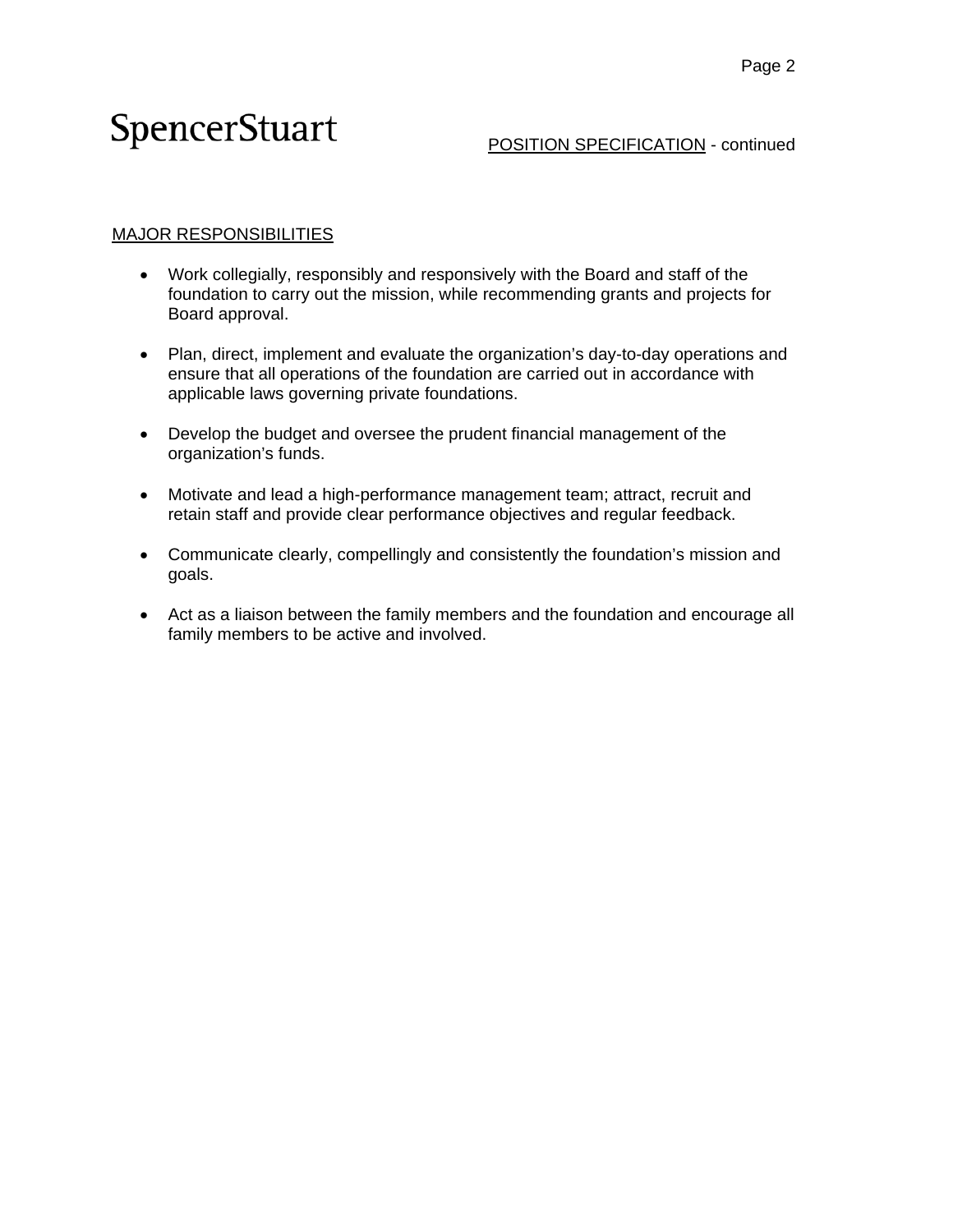#### POSITION SPECIFICATION - continued

### MAJOR RESPONSIBILITIES

- Work collegially, responsibly and responsively with the Board and staff of the foundation to carry out the mission, while recommending grants and projects for Board approval.
- Plan, direct, implement and evaluate the organization's day-to-day operations and ensure that all operations of the foundation are carried out in accordance with applicable laws governing private foundations.
- Develop the budget and oversee the prudent financial management of the organization's funds.
- Motivate and lead a high-performance management team; attract, recruit and retain staff and provide clear performance objectives and regular feedback.
- Communicate clearly, compellingly and consistently the foundation's mission and goals.
- Act as a liaison between the family members and the foundation and encourage all family members to be active and involved.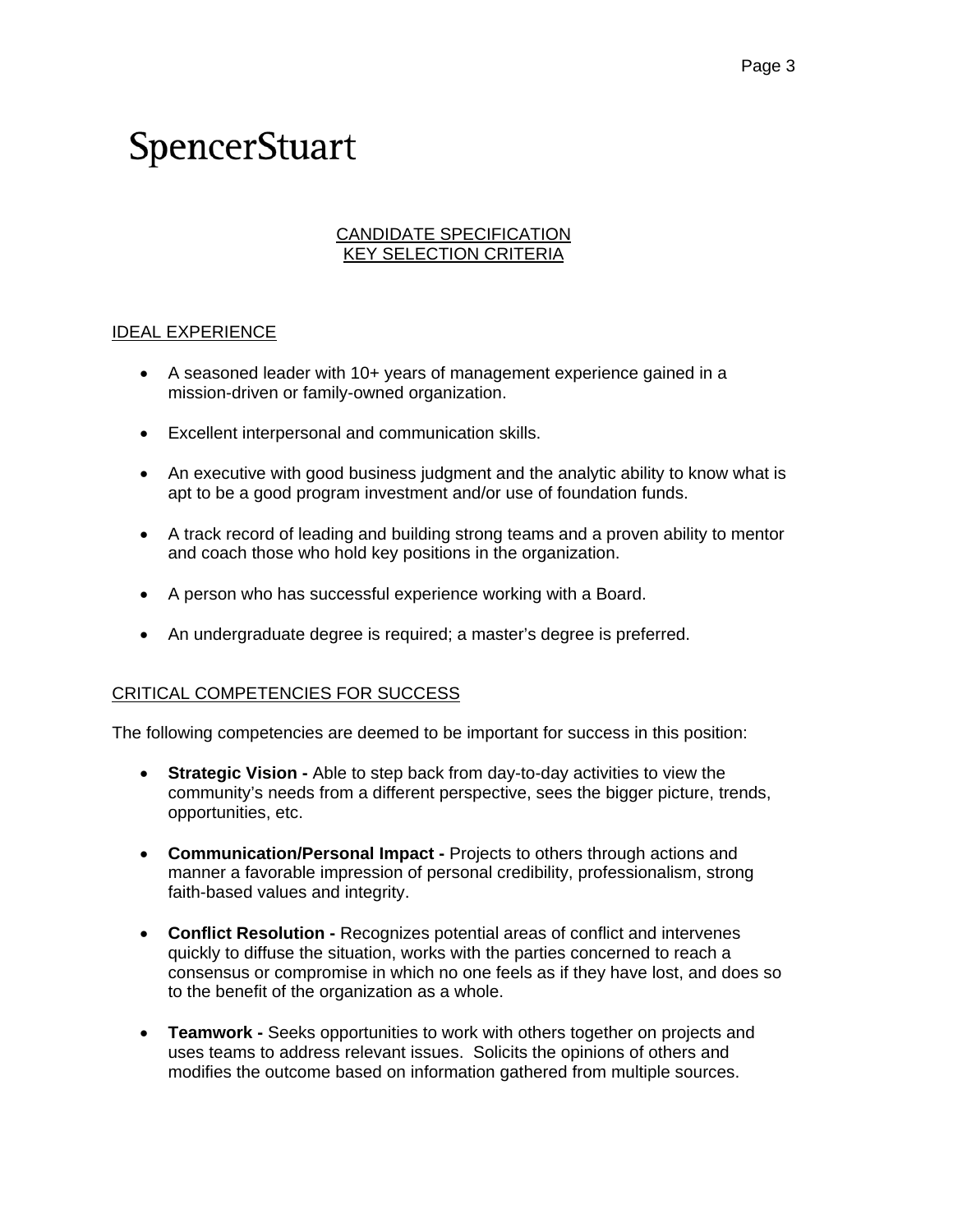#### CANDIDATE SPECIFICATION KEY SELECTION CRITERIA

#### IDEAL EXPERIENCE

- A seasoned leader with 10+ years of management experience gained in a mission-driven or family-owned organization.
- Excellent interpersonal and communication skills.
- An executive with good business judgment and the analytic ability to know what is apt to be a good program investment and/or use of foundation funds.
- A track record of leading and building strong teams and a proven ability to mentor and coach those who hold key positions in the organization.
- A person who has successful experience working with a Board.
- An undergraduate degree is required; a master's degree is preferred.

#### CRITICAL COMPETENCIES FOR SUCCESS

The following competencies are deemed to be important for success in this position:

- **Strategic Vision** Able to step back from day-to-day activities to view the community's needs from a different perspective, sees the bigger picture, trends, opportunities, etc.
- **Communication/Personal Impact** Projects to others through actions and manner a favorable impression of personal credibility, professionalism, strong faith-based values and integrity.
- **Conflict Resolution** Recognizes potential areas of conflict and intervenes quickly to diffuse the situation, works with the parties concerned to reach a consensus or compromise in which no one feels as if they have lost, and does so to the benefit of the organization as a whole.
- **Teamwork** Seeks opportunities to work with others together on projects and uses teams to address relevant issues. Solicits the opinions of others and modifies the outcome based on information gathered from multiple sources.